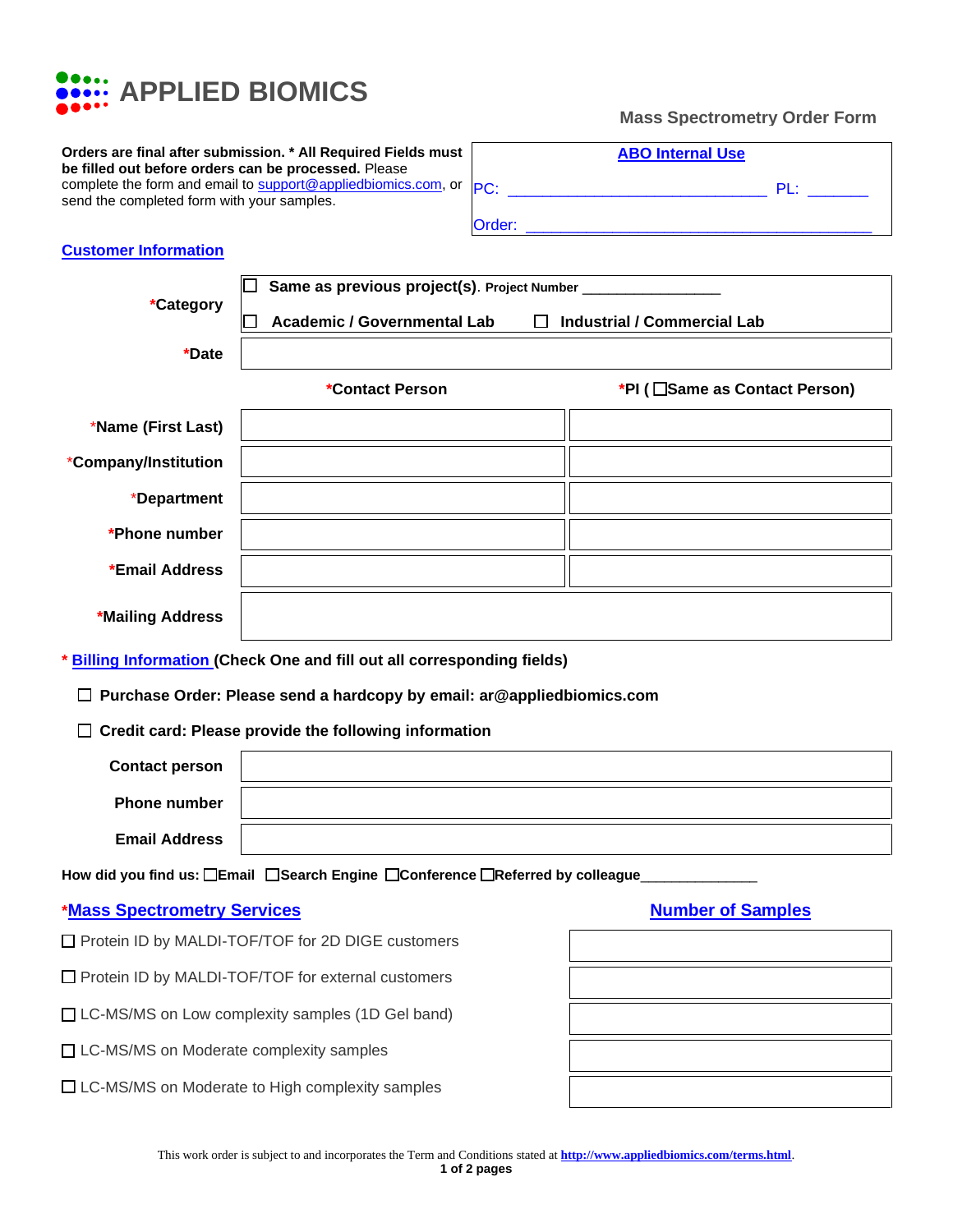

## **Mass Spectrometry Order Form**

| Orders are final after submission. * All Required Fields must<br>be filled out before orders can be processed. Please |
|-----------------------------------------------------------------------------------------------------------------------|
| complete the form and email to support@appliedbiomics.com, or                                                         |
| send the completed form with your samples.                                                                            |

| <b>ABO Internal Use</b> |        |  |  |  |  |  |
|-------------------------|--------|--|--|--|--|--|
| PC:                     | $PI +$ |  |  |  |  |  |
| Order:                  |        |  |  |  |  |  |

## **Customer Information**

|                                                                               | Same as previous project(s). Project Number ____________                           |                                 |  |  |  |  |
|-------------------------------------------------------------------------------|------------------------------------------------------------------------------------|---------------------------------|--|--|--|--|
| *Category                                                                     | <b>Academic / Governmental Lab</b><br><b>Industrial / Commercial Lab</b><br>$\Box$ |                                 |  |  |  |  |
| *Date                                                                         |                                                                                    |                                 |  |  |  |  |
|                                                                               | *Contact Person                                                                    | *PI ( □ Same as Contact Person) |  |  |  |  |
| *Name (First Last)                                                            |                                                                                    |                                 |  |  |  |  |
| *Company/Institution                                                          |                                                                                    |                                 |  |  |  |  |
| *Department                                                                   |                                                                                    |                                 |  |  |  |  |
| *Phone number                                                                 |                                                                                    |                                 |  |  |  |  |
| *Email Address                                                                |                                                                                    |                                 |  |  |  |  |
| *Mailing Address                                                              |                                                                                    |                                 |  |  |  |  |
|                                                                               | * Billing Information (Check One and fill out all corresponding fields)            |                                 |  |  |  |  |
|                                                                               | Purchase Order: Please send a hardcopy by email: ar@appliedbiomics.com             |                                 |  |  |  |  |
| Credit card: Please provide the following information                         |                                                                                    |                                 |  |  |  |  |
| <b>Contact person</b>                                                         |                                                                                    |                                 |  |  |  |  |
| <b>Phone number</b>                                                           |                                                                                    |                                 |  |  |  |  |
| <b>Email Address</b>                                                          |                                                                                    |                                 |  |  |  |  |
| How did you find us: □Email □Search Engine □Conference □Referred by colleague |                                                                                    |                                 |  |  |  |  |
| <b>*Mass Spectrometry Services</b>                                            |                                                                                    | <b>Number of Samples</b>        |  |  |  |  |
|                                                                               | Protein ID by MALDI-TOF/TOF for 2D DIGE customers                                  |                                 |  |  |  |  |
|                                                                               | □ Protein ID by MALDI-TOF/TOF for external customers                               |                                 |  |  |  |  |
|                                                                               | □ LC-MS/MS on Low complexity samples (1D Gel band)                                 |                                 |  |  |  |  |
| □ LC-MS/MS on Moderate complexity samples                                     |                                                                                    |                                 |  |  |  |  |
|                                                                               | □ LC-MS/MS on Moderate to High complexity samples                                  |                                 |  |  |  |  |